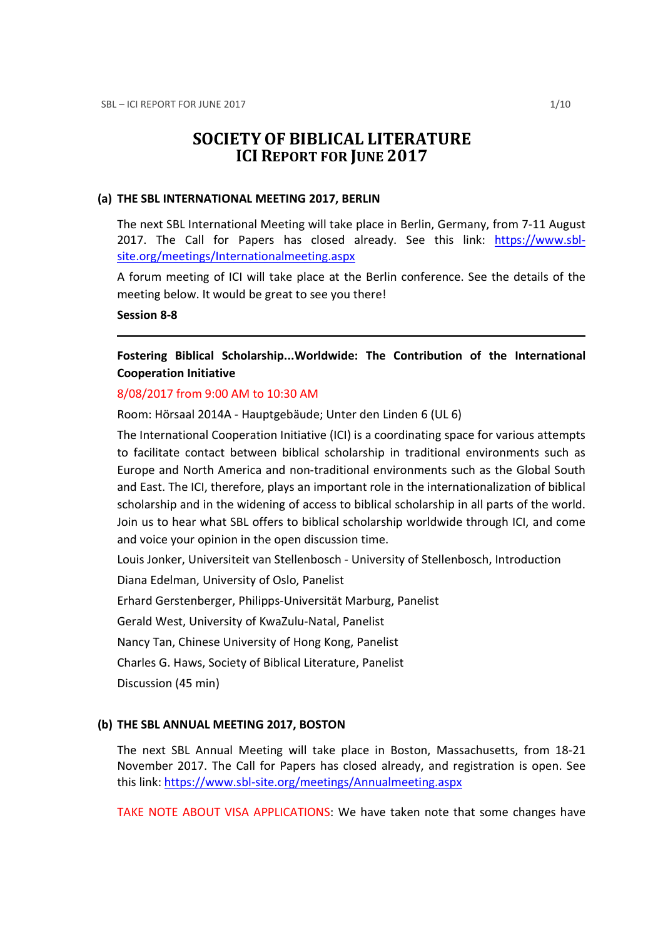# SOCIETY OF BIBLICAL LITERATURE ICI REPORT FOR JUNE 2017

#### (a) THE SBL INTERNATIONAL MEETING 2017, BERLIN

The next SBL International Meeting will take place in Berlin, Germany, from 7-11 August 2017. The Call for Papers has closed already. See this link: https://www.sblsite.org/meetings/Internationalmeeting.aspx

A forum meeting of ICI will take place at the Berlin conference. See the details of the meeting below. It would be great to see you there!

#### Session 8-8

## Fostering Biblical Scholarship...Worldwide: The Contribution of the International Cooperation Initiative

#### 8/08/2017 from 9:00 AM to 10:30 AM

Room: Hörsaal 2014A - Hauptgebäude; Unter den Linden 6 (UL 6)

The International Cooperation Initiative (ICI) is a coordinating space for various attempts to facilitate contact between biblical scholarship in traditional environments such as Europe and North America and non-traditional environments such as the Global South and East. The ICI, therefore, plays an important role in the internationalization of biblical scholarship and in the widening of access to biblical scholarship in all parts of the world. Join us to hear what SBL offers to biblical scholarship worldwide through ICI, and come and voice your opinion in the open discussion time.

Louis Jonker, Universiteit van Stellenbosch - University of Stellenbosch, Introduction

Diana Edelman, University of Oslo, Panelist

Erhard Gerstenberger, Philipps-Universität Marburg, Panelist

Gerald West, University of KwaZulu-Natal, Panelist

Nancy Tan, Chinese University of Hong Kong, Panelist

Charles G. Haws, Society of Biblical Literature, Panelist

Discussion (45 min)

#### (b) THE SBL ANNUAL MEETING 2017, BOSTON

The next SBL Annual Meeting will take place in Boston, Massachusetts, from 18-21 November 2017. The Call for Papers has closed already, and registration is open. See this link: https://www.sbl-site.org/meetings/Annualmeeting.aspx

TAKE NOTE ABOUT VISA APPLICATIONS: We have taken note that some changes have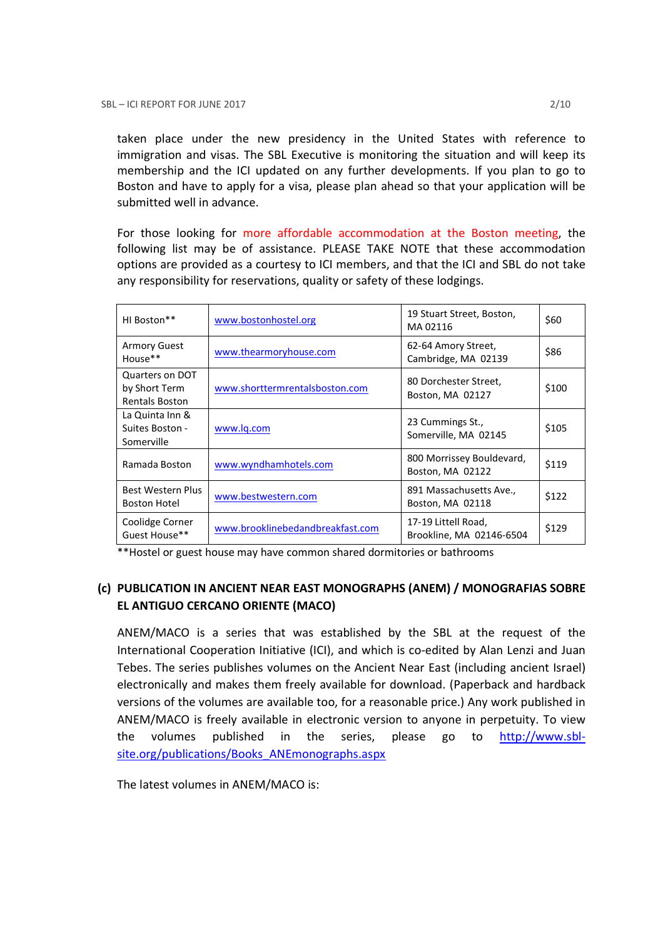taken place under the new presidency in the United States with reference to immigration and visas. The SBL Executive is monitoring the situation and will keep its membership and the ICI updated on any further developments. If you plan to go to Boston and have to apply for a visa, please plan ahead so that your application will be submitted well in advance.

For those looking for more affordable accommodation at the Boston meeting, the following list may be of assistance. PLEASE TAKE NOTE that these accommodation options are provided as a courtesy to ICI members, and that the ICI and SBL do not take any responsibility for reservations, quality or safety of these lodgings.

| HI Boston**                                               | www.bostonhostel.org             | 19 Stuart Street, Boston,<br>MA02116            | \$60  |
|-----------------------------------------------------------|----------------------------------|-------------------------------------------------|-------|
| <b>Armory Guest</b><br>House**                            | www.thearmoryhouse.com           | 62-64 Amory Street,<br>Cambridge, MA 02139      | \$86  |
| Quarters on DOT<br>by Short Term<br><b>Rentals Boston</b> | www.shorttermrentalsboston.com   | 80 Dorchester Street,<br>Boston, MA 02127       | \$100 |
| La Quinta Inn &<br>Suites Boston -<br>Somerville          | www.lg.com                       | 23 Cummings St.,<br>Somerville, MA 02145        | \$105 |
| Ramada Boston                                             | www.wyndhamhotels.com            | 800 Morrissey Bouldevard,<br>Boston, MA 02122   | \$119 |
| Best Western Plus<br><b>Boston Hotel</b>                  | www.bestwestern.com              | 891 Massachusetts Ave.,<br>Boston, MA 02118     | \$122 |
| Coolidge Corner<br>Guest House**                          | www.brooklinebedandbreakfast.com | 17-19 Littell Road,<br>Brookline, MA 02146-6504 | \$129 |

\*\*Hostel or guest house may have common shared dormitories or bathrooms

## (c) PUBLICATION IN ANCIENT NEAR EAST MONOGRAPHS (ANEM) / MONOGRAFIAS SOBRE EL ANTIGUO CERCANO ORIENTE (MACO)

ANEM/MACO is a series that was established by the SBL at the request of the International Cooperation Initiative (ICI), and which is co-edited by Alan Lenzi and Juan Tebes. The series publishes volumes on the Ancient Near East (including ancient Israel) electronically and makes them freely available for download. (Paperback and hardback versions of the volumes are available too, for a reasonable price.) Any work published in ANEM/MACO is freely available in electronic version to anyone in perpetuity. To view the volumes published in the series, please go to http://www.sblsite.org/publications/Books\_ANEmonographs.aspx

The latest volumes in ANEM/MACO is: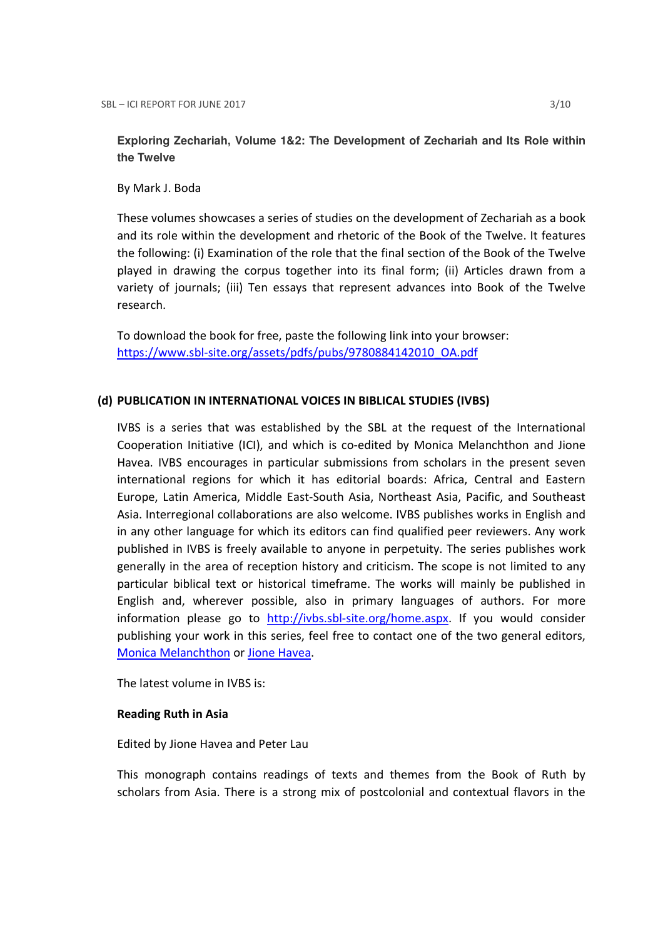**Exploring Zechariah, Volume 1&2: The Development of Zechariah and Its Role within the Twelve** 

By Mark J. Boda

These volumes showcases a series of studies on the development of Zechariah as a book and its role within the development and rhetoric of the Book of the Twelve. It features the following: (i) Examination of the role that the final section of the Book of the Twelve played in drawing the corpus together into its final form; (ii) Articles drawn from a variety of journals; (iii) Ten essays that represent advances into Book of the Twelve research.

To download the book for free, paste the following link into your browser: https://www.sbl-site.org/assets/pdfs/pubs/9780884142010\_OA.pdf

## (d) PUBLICATION IN INTERNATIONAL VOICES IN BIBLICAL STUDIES (IVBS)

IVBS is a series that was established by the SBL at the request of the International Cooperation Initiative (ICI), and which is co-edited by Monica Melanchthon and Jione Havea. IVBS encourages in particular submissions from scholars in the present seven international regions for which it has editorial boards: Africa, Central and Eastern Europe, Latin America, Middle East-South Asia, Northeast Asia, Pacific, and Southeast Asia. Interregional collaborations are also welcome. IVBS publishes works in English and in any other language for which its editors can find qualified peer reviewers. Any work published in IVBS is freely available to anyone in perpetuity. The series publishes work generally in the area of reception history and criticism. The scope is not limited to any particular biblical text or historical timeframe. The works will mainly be published in English and, wherever possible, also in primary languages of authors. For more information please go to http://ivbs.sbl-site.org/home.aspx. If you would consider publishing your work in this series, feel free to contact one of the two general editors, Monica Melanchthon or Jione Havea.

The latest volume in IVBS is:

#### Reading Ruth in Asia

#### Edited by Jione Havea and Peter Lau

This monograph contains readings of texts and themes from the Book of Ruth by scholars from Asia. There is a strong mix of postcolonial and contextual flavors in the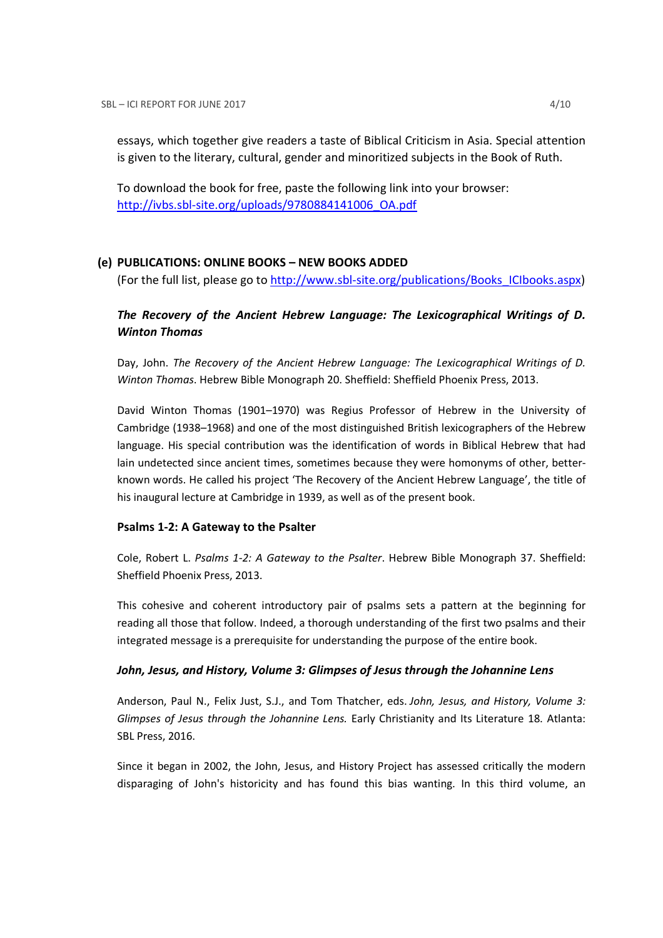essays, which together give readers a taste of Biblical Criticism in Asia. Special attention is given to the literary, cultural, gender and minoritized subjects in the Book of Ruth.

To download the book for free, paste the following link into your browser: http://ivbs.sbl-site.org/uploads/9780884141006\_OA.pdf

## (e) PUBLICATIONS: ONLINE BOOKS – NEW BOOKS ADDED

(For the full list, please go to http://www.sbl-site.org/publications/Books\_ICIbooks.aspx)

## The Recovery of the Ancient Hebrew Language: The Lexicographical Writings of D. Winton Thomas

Day, John. The Recovery of the Ancient Hebrew Language: The Lexicographical Writings of D. Winton Thomas. Hebrew Bible Monograph 20. Sheffield: Sheffield Phoenix Press, 2013.

David Winton Thomas (1901–1970) was Regius Professor of Hebrew in the University of Cambridge (1938–1968) and one of the most distinguished British lexicographers of the Hebrew language. His special contribution was the identification of words in Biblical Hebrew that had lain undetected since ancient times, sometimes because they were homonyms of other, betterknown words. He called his project 'The Recovery of the Ancient Hebrew Language', the title of his inaugural lecture at Cambridge in 1939, as well as of the present book.

#### Psalms 1-2: A Gateway to the Psalter

Cole, Robert L. Psalms 1-2: A Gateway to the Psalter. Hebrew Bible Monograph 37. Sheffield: Sheffield Phoenix Press, 2013.

This cohesive and coherent introductory pair of psalms sets a pattern at the beginning for reading all those that follow. Indeed, a thorough understanding of the first two psalms and their integrated message is a prerequisite for understanding the purpose of the entire book.

#### John, Jesus, and History, Volume 3: Glimpses of Jesus through the Johannine Lens

Anderson, Paul N., Felix Just, S.J., and Tom Thatcher, eds. John, Jesus, and History, Volume 3: Glimpses of Jesus through the Johannine Lens. Early Christianity and Its Literature 18. Atlanta: SBL Press, 2016.

Since it began in 2002, the John, Jesus, and History Project has assessed critically the modern disparaging of John's historicity and has found this bias wanting. In this third volume, an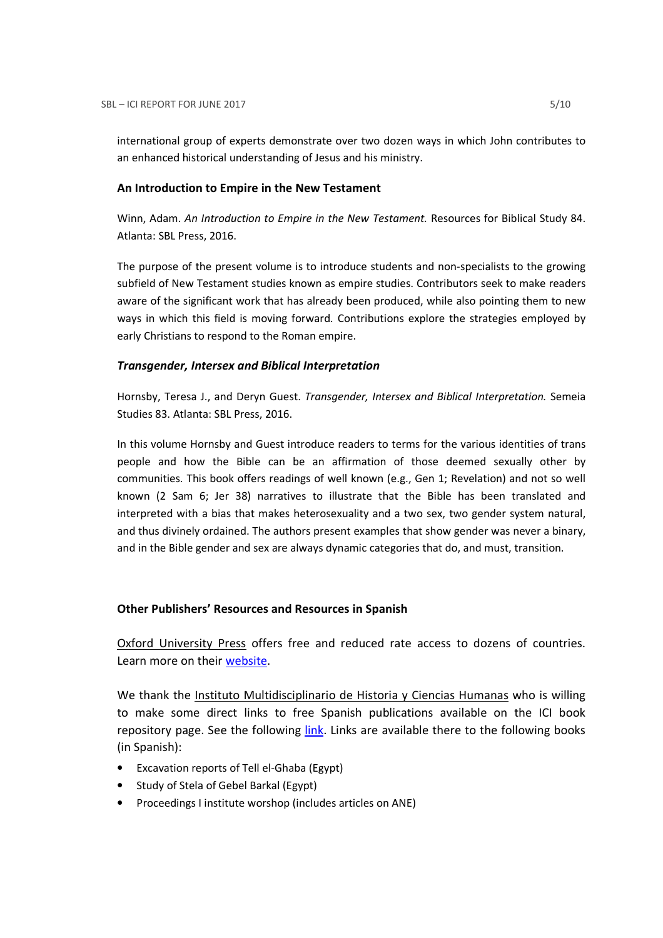international group of experts demonstrate over two dozen ways in which John contributes to an enhanced historical understanding of Jesus and his ministry.

#### An Introduction to Empire in the New Testament

Winn, Adam. An Introduction to Empire in the New Testament. Resources for Biblical Study 84. Atlanta: SBL Press, 2016.

The purpose of the present volume is to introduce students and non-specialists to the growing subfield of New Testament studies known as empire studies. Contributors seek to make readers aware of the significant work that has already been produced, while also pointing them to new ways in which this field is moving forward. Contributions explore the strategies employed by early Christians to respond to the Roman empire.

### Transgender, Intersex and Biblical Interpretation

Hornsby, Teresa J., and Deryn Guest. Transgender, Intersex and Biblical Interpretation. Semeia Studies 83. Atlanta: SBL Press, 2016.

In this volume Hornsby and Guest introduce readers to terms for the various identities of trans people and how the Bible can be an affirmation of those deemed sexually other by communities. This book offers readings of well known (e.g., Gen 1; Revelation) and not so well known (2 Sam 6; Jer 38) narratives to illustrate that the Bible has been translated and interpreted with a bias that makes heterosexuality and a two sex, two gender system natural, and thus divinely ordained. The authors present examples that show gender was never a binary, and in the Bible gender and sex are always dynamic categories that do, and must, transition.

#### Other Publishers' Resources and Resources in Spanish

Oxford University Press offers free and reduced rate access to dozens of countries. Learn more on their website.

We thank the Instituto Multidisciplinario de Historia y Ciencias Humanas who is willing to make some direct links to free Spanish publications available on the ICI book repository page. See the following link. Links are available there to the following books (in Spanish):

- Excavation reports of Tell el-Ghaba (Egypt)
- Study of Stela of Gebel Barkal (Egypt)
- Proceedings I institute worshop (includes articles on ANE)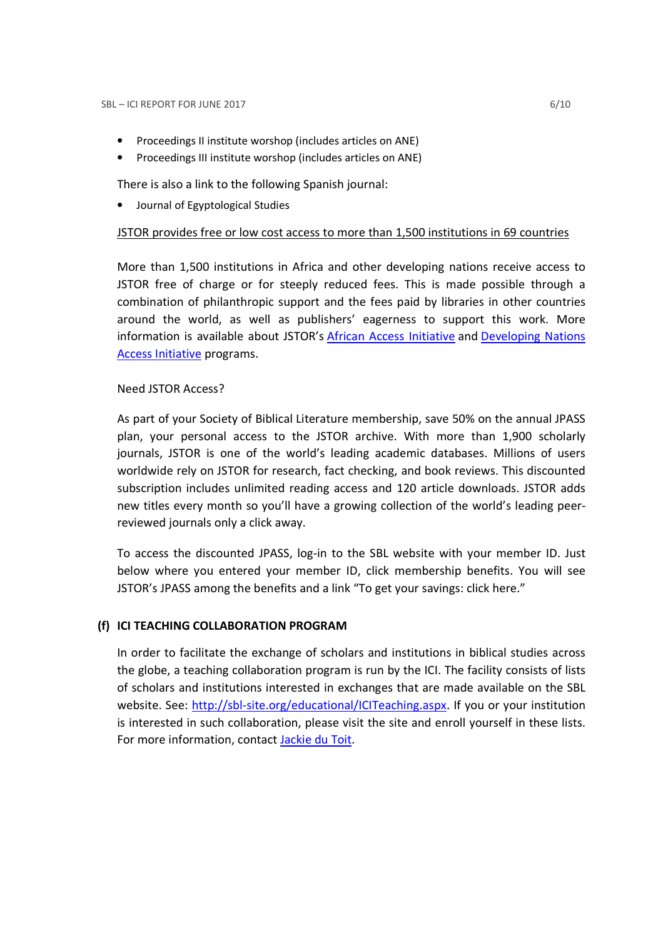- Proceedings II institute worshop (includes articles on ANE)
- Proceedings III institute worshop (includes articles on ANE)

There is also a link to the following Spanish journal:

• Journal of Egyptological Studies

### JSTOR provides free or low cost access to more than 1,500 institutions in 69 countries

More than 1,500 institutions in Africa and other developing nations receive access to JSTOR free of charge or for steeply reduced fees. This is made possible through a combination of philanthropic support and the fees paid by libraries in other countries around the world, as well as publishers' eagerness to support this work. More information is available about JSTOR's African Access Initiative and Developing Nations Access Initiative programs.

## Need JSTOR Access?

As part of your Society of Biblical Literature membership, save 50% on the annual JPASS plan, your personal access to the JSTOR archive. With more than 1,900 scholarly journals, JSTOR is one of the world's leading academic databases. Millions of users worldwide rely on JSTOR for research, fact checking, and book reviews. This discounted subscription includes unlimited reading access and 120 article downloads. JSTOR adds new titles every month so you'll have a growing collection of the world's leading peerreviewed journals only a click away.

To access the discounted JPASS, log-in to the SBL website with your member ID. Just below where you entered your member ID, click membership benefits. You will see JSTOR's JPASS among the benefits and a link "To get your savings: click here."

## (f) ICI TEACHING COLLABORATION PROGRAM

In order to facilitate the exchange of scholars and institutions in biblical studies across the globe, a teaching collaboration program is run by the ICI. The facility consists of lists of scholars and institutions interested in exchanges that are made available on the SBL website. See: http://sbl-site.org/educational/ICITeaching.aspx. If you or your institution is interested in such collaboration, please visit the site and enroll yourself in these lists. For more information, contact Jackie du Toit.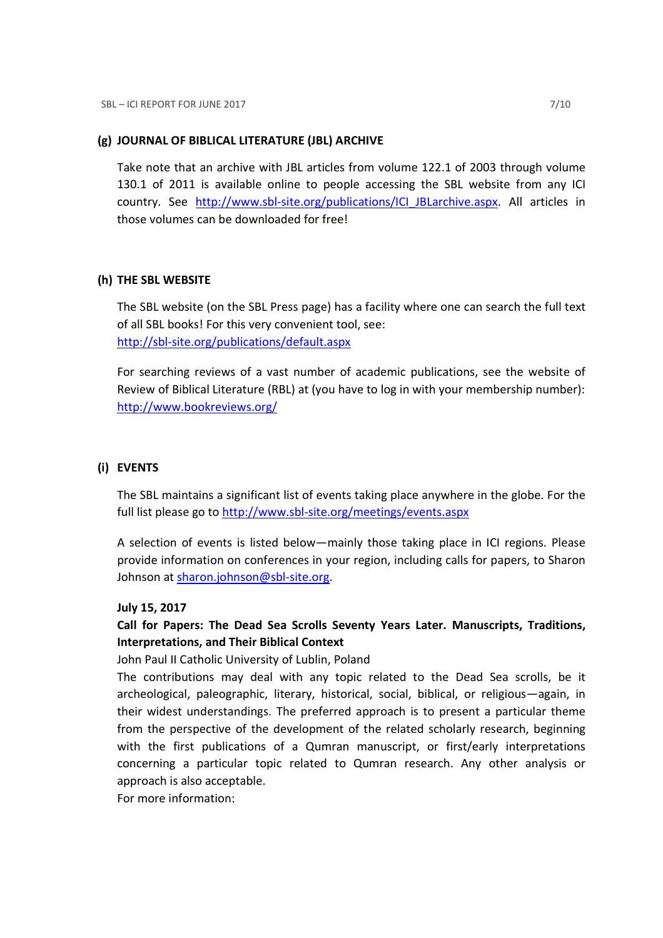#### (g) JOURNAL OF BIBLICAL LITERATURE (JBL) ARCHIVE

Take note that an archive with JBL articles from volume 122.1 of 2003 through volume 130.1 of 2011 is available online to people accessing the SBL website from any ICI country. See http://www.sbl-site.org/publications/ICI\_JBLarchive.aspx. All articles in those volumes can be downloaded for free!

#### (h) THE SBL WEBSITE

The SBL website (on the SBL Press page) has a facility where one can search the full text of all SBL books! For this very convenient tool, see: http://sbl-site.org/publications/default.aspx

For searching reviews of a vast number of academic publications, see the website of Review of Biblical Literature (RBL) at (you have to log in with your membership number): http://www.bookreviews.org/

## (i) EVENTS

The SBL maintains a significant list of events taking place anywhere in the globe. For the full list please go to http://www.sbl-site.org/meetings/events.aspx

A selection of events is listed below—mainly those taking place in ICI regions. Please provide information on conferences in your region, including calls for papers, to Sharon Johnson at sharon.johnson@sbl-site.org.

#### July 15, 2017

## Call for Papers: The Dead Sea Scrolls Seventy Years Later. Manuscripts, Traditions, Interpretations, and Their Biblical Context

#### John Paul II Catholic University of Lublin, Poland

The contributions may deal with any topic related to the Dead Sea scrolls, be it archeological, paleographic, literary, historical, social, biblical, or religious—again, in their widest understandings. The preferred approach is to present a particular theme from the perspective of the development of the related scholarly research, beginning with the first publications of a Qumran manuscript, or first/early interpretations concerning a particular topic related to Qumran research. Any other analysis or approach is also acceptable.

For more information: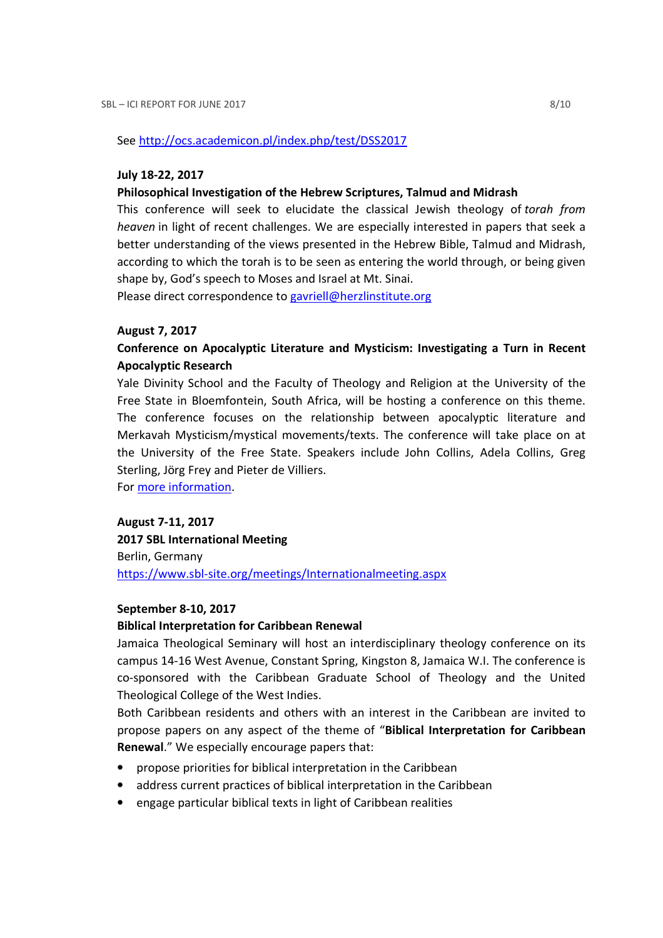See http://ocs.academicon.pl/index.php/test/DSS2017

#### July 18-22, 2017

#### Philosophical Investigation of the Hebrew Scriptures, Talmud and Midrash

This conference will seek to elucidate the classical Jewish theology of torah from heaven in light of recent challenges. We are especially interested in papers that seek a better understanding of the views presented in the Hebrew Bible, Talmud and Midrash, according to which the torah is to be seen as entering the world through, or being given shape by, God's speech to Moses and Israel at Mt. Sinai.

Please direct correspondence to gavriell@herzlinstitute.org

#### August 7, 2017

## Conference on Apocalyptic Literature and Mysticism: Investigating a Turn in Recent Apocalyptic Research

Yale Divinity School and the Faculty of Theology and Religion at the University of the Free State in Bloemfontein, South Africa, will be hosting a conference on this theme. The conference focuses on the relationship between apocalyptic literature and Merkavah Mysticism/mystical movements/texts. The conference will take place on at the University of the Free State. Speakers include John Collins, Adela Collins, Greg Sterling, Jörg Frey and Pieter de Villiers.

For more information.

### August 7-11, 2017

2017 SBL International Meeting Berlin, Germany https://www.sbl-site.org/meetings/Internationalmeeting.aspx

#### September 8-10, 2017

#### Biblical Interpretation for Caribbean Renewal

Jamaica Theological Seminary will host an interdisciplinary theology conference on its campus 14-16 West Avenue, Constant Spring, Kingston 8, Jamaica W.I. The conference is co-sponsored with the Caribbean Graduate School of Theology and the United Theological College of the West Indies.

Both Caribbean residents and others with an interest in the Caribbean are invited to propose papers on any aspect of the theme of "Biblical Interpretation for Caribbean Renewal." We especially encourage papers that:

- propose priorities for biblical interpretation in the Caribbean
- address current practices of biblical interpretation in the Caribbean
- engage particular biblical texts in light of Caribbean realities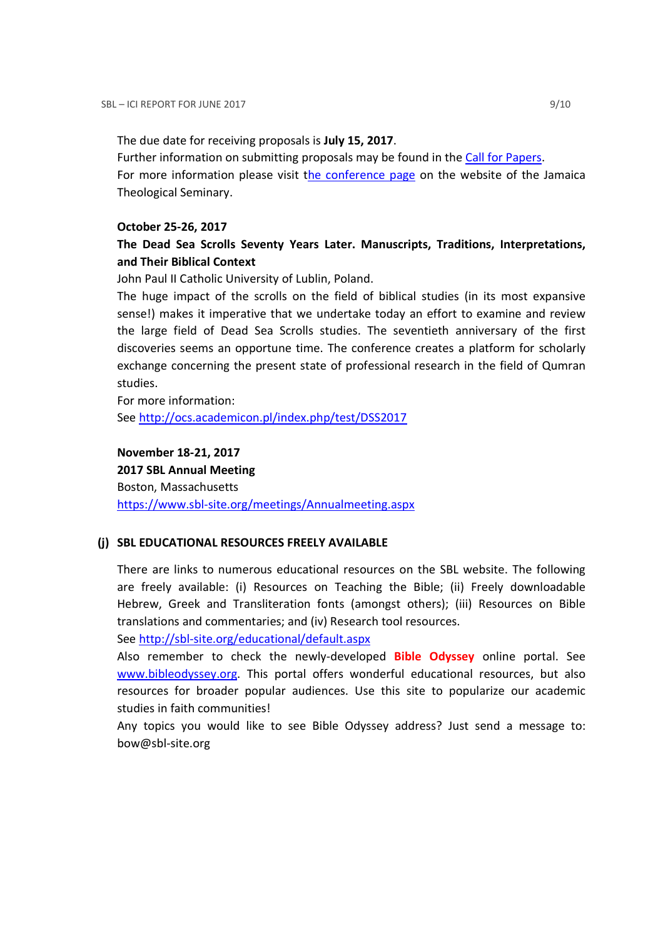The due date for receiving proposals is July 15, 2017.

Further information on submitting proposals may be found in the Call for Papers.

For more information please visit the conference page on the website of the Jamaica Theological Seminary.

## October 25-26, 2017

## The Dead Sea Scrolls Seventy Years Later. Manuscripts, Traditions, Interpretations, and Their Biblical Context

John Paul II Catholic University of Lublin, Poland.

The huge impact of the scrolls on the field of biblical studies (in its most expansive sense!) makes it imperative that we undertake today an effort to examine and review the large field of Dead Sea Scrolls studies. The seventieth anniversary of the first discoveries seems an opportune time. The conference creates a platform for scholarly exchange concerning the present state of professional research in the field of Qumran studies.

For more information: See http://ocs.academicon.pl/index.php/test/DSS2017

## November 18-21, 2017

2017 SBL Annual Meeting Boston, Massachusetts https://www.sbl-site.org/meetings/Annualmeeting.aspx

## (j) SBL EDUCATIONAL RESOURCES FREELY AVAILABLE

There are links to numerous educational resources on the SBL website. The following are freely available: (i) Resources on Teaching the Bible; (ii) Freely downloadable Hebrew, Greek and Transliteration fonts (amongst others); (iii) Resources on Bible translations and commentaries; and (iv) Research tool resources.

See http://sbl-site.org/educational/default.aspx

Also remember to check the newly-developed **Bible Odyssey** online portal. See www.bibleodyssey.org. This portal offers wonderful educational resources, but also resources for broader popular audiences. Use this site to popularize our academic studies in faith communities!

Any topics you would like to see Bible Odyssey address? Just send a message to: bow@sbl-site.org